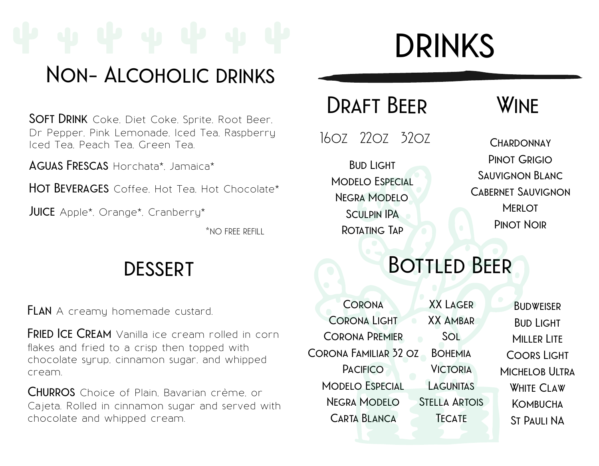## **Non- Alcoholic drinks**

**Soft Drink** Coke, Diet Coke, Sprite, Root Beer, Dr Pepper, Pink Lemonade, Iced Tea, Raspberry Iced Tea, Peach Tea, Green Tea.

**Aguas Frescas** Horchata\*, Jamaica\*

**Hot Beverages** Coffee, Hot Tea, Hot Chocolate\*

**JUICE** Apple<sup>\*</sup>, Orange<sup>\*</sup>, Cranberry<sup>\*</sup>

\*no free refill

### **dessert**

**FLAN** A creamy homemade custard.

**FRIED ICE CREAM** Vanilla ice cream rolled in corn flakes and fried to a crisp then topped with chocolate syrup, cinnamon sugar, and whipped cream.

**Churros** Choice of Plain, Bavarian crème, or Cajeta. Rolled in cinnamon sugar and served with chocolate and whipped cream.

# **drinks**

### **Draft Beer**

16oz 22oz 32oz

**Bud Light Modelo Especial Negra Modelo Sculpin IPA Rotating Tap**

### **Wine**

**Chardonnay Pinot Grigio Sauvignon Blanc Cabernet Sauvignon Merlot Pinot Noir**

# **Bottled Beer**

**Corona Corona Light Corona Premier Corona Familiar 32 oz Pacifico Modelo Especial Negra Modelo Carta Blanca XX Lager XX Ambar Sol Bohemia Victoria Lagunitas Stella Artois Tecate Budweiser Bud Light Miller Lite Coors Light Michelob Ultra White Claw Kombucha St Pauli NA**